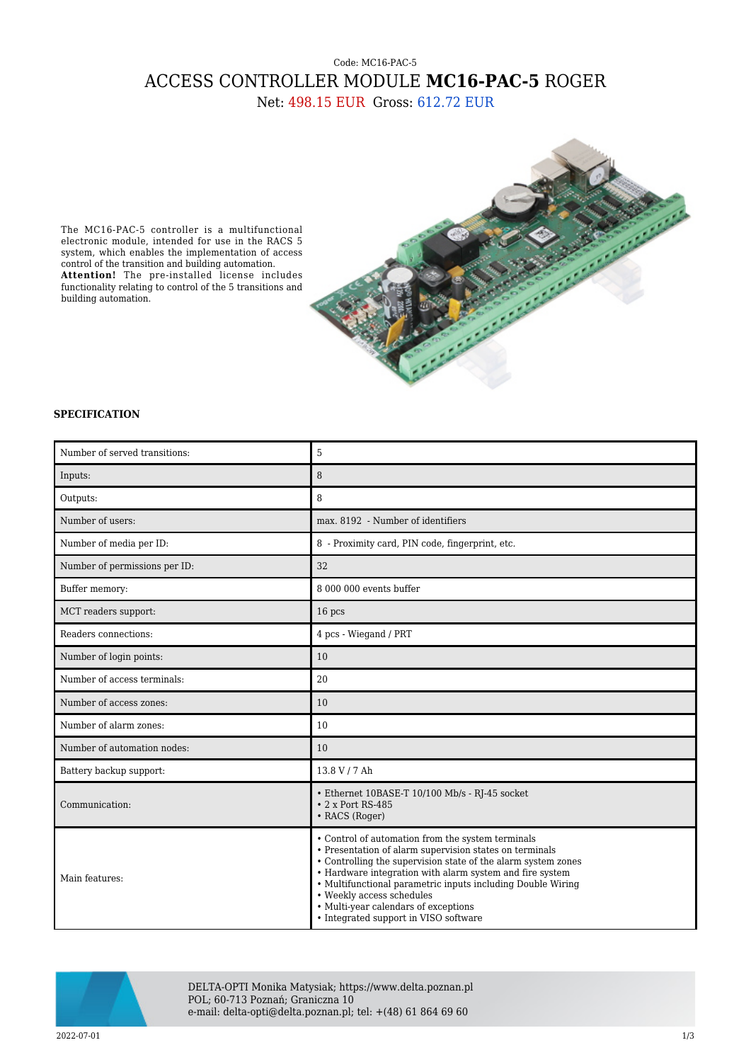## Code: MC16-PAC-5 ACCESS CONTROLLER MODULE **MC16-PAC-5** ROGER

Net: 498.15 EUR Gross: 612.72 EUR

The MC16-PAC-5 controller is a multifunctional electronic module, intended for use in the RACS 5 system, which enables the implementation of access control of the transition and building automation. **Attention!** The pre-installed license includes functionality relating to control of the 5 transitions and building automation.



## **SPECIFICATION**

| Number of served transitions: | 5                                                                                                                                                                                                                                                                                                                                                                                                                      |
|-------------------------------|------------------------------------------------------------------------------------------------------------------------------------------------------------------------------------------------------------------------------------------------------------------------------------------------------------------------------------------------------------------------------------------------------------------------|
| Inputs:                       | 8                                                                                                                                                                                                                                                                                                                                                                                                                      |
| Outputs:                      | 8                                                                                                                                                                                                                                                                                                                                                                                                                      |
| Number of users:              | max. 8192 - Number of identifiers                                                                                                                                                                                                                                                                                                                                                                                      |
| Number of media per ID:       | 8 - Proximity card, PIN code, fingerprint, etc.                                                                                                                                                                                                                                                                                                                                                                        |
| Number of permissions per ID: | 32                                                                                                                                                                                                                                                                                                                                                                                                                     |
| Buffer memory:                | 8 000 000 events buffer                                                                                                                                                                                                                                                                                                                                                                                                |
| MCT readers support:          | 16 pcs                                                                                                                                                                                                                                                                                                                                                                                                                 |
| Readers connections:          | 4 pcs - Wiegand / PRT                                                                                                                                                                                                                                                                                                                                                                                                  |
| Number of login points:       | 10                                                                                                                                                                                                                                                                                                                                                                                                                     |
| Number of access terminals:   | 20                                                                                                                                                                                                                                                                                                                                                                                                                     |
| Number of access zones:       | 10                                                                                                                                                                                                                                                                                                                                                                                                                     |
| Number of alarm zones:        | 10                                                                                                                                                                                                                                                                                                                                                                                                                     |
| Number of automation nodes:   | 10                                                                                                                                                                                                                                                                                                                                                                                                                     |
| Battery backup support:       | 13.8 V / 7 Ah                                                                                                                                                                                                                                                                                                                                                                                                          |
| Communication:                | • Ethernet 10BASE-T 10/100 Mb/s - RJ-45 socket<br>$\cdot$ 2 x Port RS-485<br>• RACS (Roger)                                                                                                                                                                                                                                                                                                                            |
| Main features:                | • Control of automation from the system terminals<br>• Presentation of alarm supervision states on terminals<br>• Controlling the supervision state of the alarm system zones<br>• Hardware integration with alarm system and fire system<br>• Multifunctional parametric inputs including Double Wiring<br>• Weekly access schedules<br>• Multi-year calendars of exceptions<br>• Integrated support in VISO software |

![](_page_0_Picture_6.jpeg)

DELTA-OPTI Monika Matysiak; https://www.delta.poznan.pl POL; 60-713 Poznań; Graniczna 10 e-mail: delta-opti@delta.poznan.pl; tel: +(48) 61 864 69 60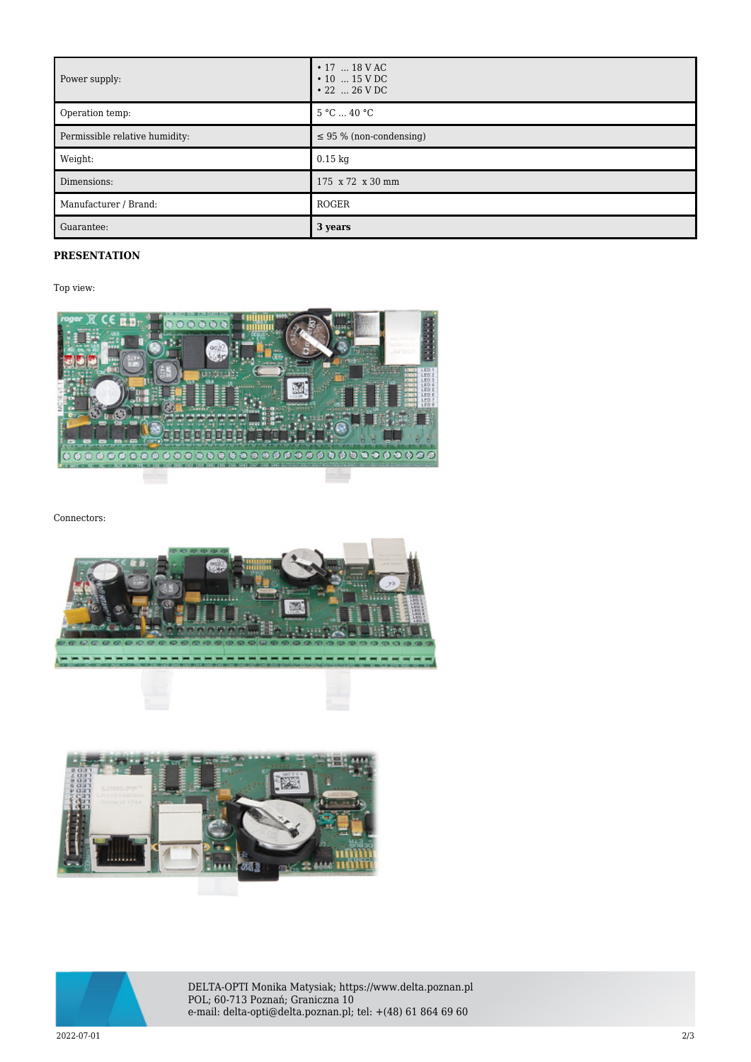| Power supply:                  | $\cdot$ 17  18 V AC<br>$\cdot$ 10  15 V DC<br>$\cdot$ 22  26 V DC |
|--------------------------------|-------------------------------------------------------------------|
| Operation temp:                | 5 °C  40 °C                                                       |
| Permissible relative humidity: | $\leq$ 95 % (non-condensing)                                      |
| Weight:                        | $0.15$ kg                                                         |
| Dimensions:                    | 175 x 72 x 30 mm                                                  |
| Manufacturer / Brand:          | ROGER                                                             |
| Guarantee:                     | 3 years                                                           |

## **PRESENTATION**

Top view:

![](_page_1_Picture_3.jpeg)

Connectors:

![](_page_1_Picture_5.jpeg)

![](_page_1_Picture_6.jpeg)

![](_page_1_Picture_7.jpeg)

DELTA-OPTI Monika Matysiak; https://www.delta.poznan.pl POL; 60-713 Poznań; Graniczna 10 e-mail: delta-opti@delta.poznan.pl; tel: +(48) 61 864 69 60

2022-07-01 2/3